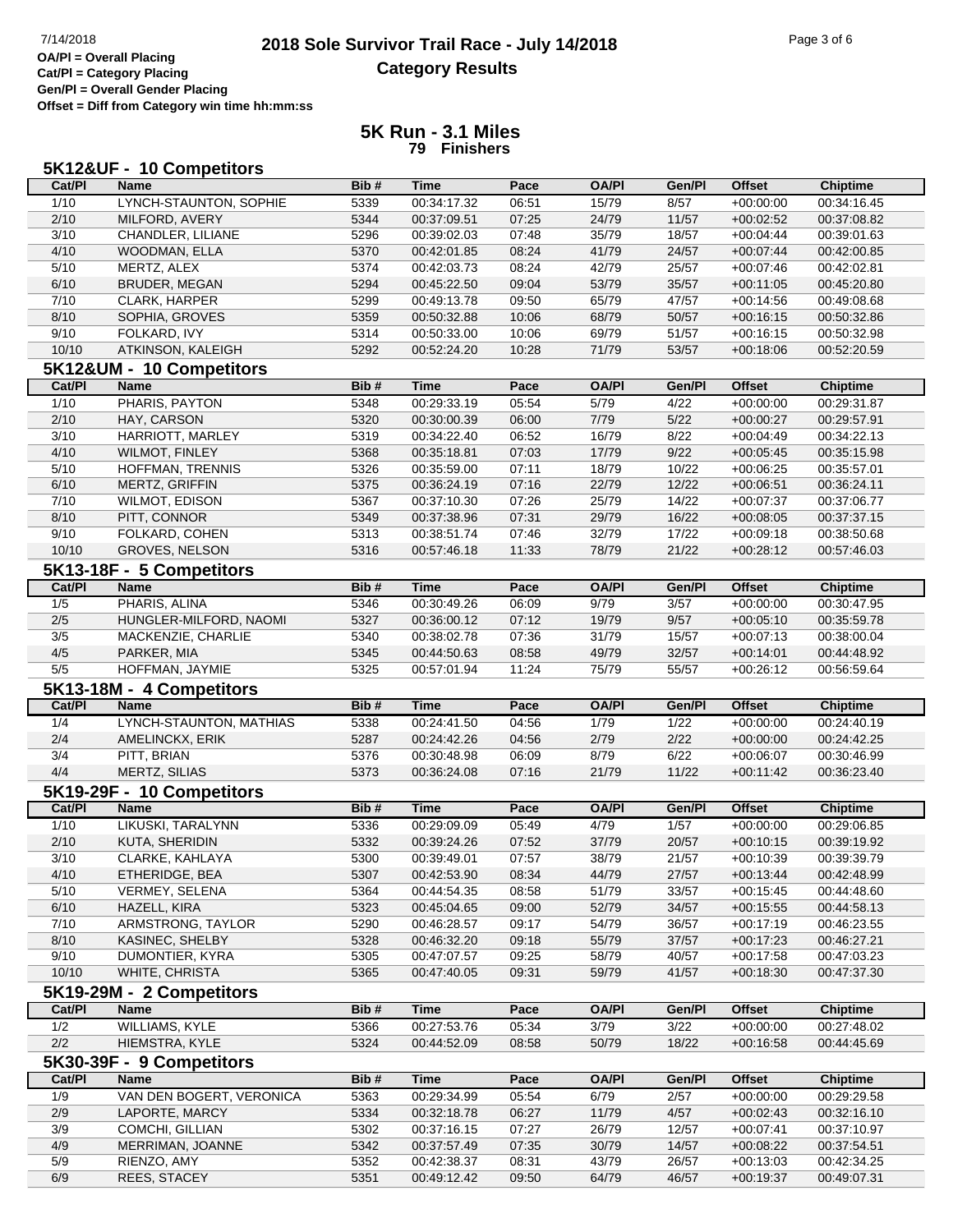## **2018 Sole Survivor Trail Race - July 14/2018** Page 3 of 6 Page 3 of 6 Page 3 of 6 **Category Results**

**Cat/Pl = Category Placing Gen/Pl = Overall Gender Placing Offset = Diff from Category win time hh:mm:ss**

## **5K Run - 3.1 Miles 79 Finishers**

|        | 5K12&UF - 10 Competitors                |      |             |       |              |        |               |                 |
|--------|-----------------------------------------|------|-------------|-------|--------------|--------|---------------|-----------------|
| Cat/PI | <b>Name</b>                             | Bib# | <b>Time</b> | Pace  | <b>OA/PI</b> | Gen/Pl | <b>Offset</b> | <b>Chiptime</b> |
| 1/10   | LYNCH-STAUNTON, SOPHIE                  | 5339 | 00:34:17.32 | 06:51 | 15/79        | 8/57   | $+00:00:00$   | 00:34:16.45     |
| 2/10   | MILFORD, AVERY                          | 5344 | 00:37:09.51 | 07:25 | 24/79        | 11/57  | $+00:02:52$   | 00:37:08.82     |
| 3/10   | CHANDLER, LILIANE                       | 5296 | 00:39:02.03 | 07:48 | 35/79        | 18/57  | $+00:04:44$   | 00:39:01.63     |
| 4/10   | WOODMAN, ELLA                           | 5370 | 00:42:01.85 | 08:24 | 41/79        | 24/57  | $+00:07:44$   | 00:42:00.85     |
| 5/10   | MERTZ, ALEX                             | 5374 | 00:42:03.73 | 08:24 | 42/79        | 25/57  | $+00:07:46$   | 00:42:02.81     |
| 6/10   | <b>BRUDER, MEGAN</b>                    | 5294 | 00:45:22.50 | 09:04 | 53/79        | 35/57  | $+00:11:05$   | 00:45:20.80     |
| 7/10   | CLARK, HARPER                           | 5299 | 00:49:13.78 | 09:50 | 65/79        | 47/57  | $+00:14:56$   | 00:49:08.68     |
| 8/10   | SOPHIA, GROVES                          | 5359 | 00:50:32.88 | 10:06 | 68/79        | 50/57  | $+00:16:15$   | 00:50:32.86     |
| 9/10   | FOLKARD, IVY                            | 5314 | 00:50:33.00 | 10:06 | 69/79        | 51/57  | $+00:16:15$   | 00:50:32.98     |
| 10/10  | ATKINSON, KALEIGH                       | 5292 | 00:52:24.20 | 10:28 | 71/79        | 53/57  | $+00:18:06$   | 00:52:20.59     |
|        |                                         |      |             |       |              |        |               |                 |
|        | 5K12&UM - 10 Competitors                |      |             |       |              |        |               |                 |
| Cat/PI | <b>Name</b>                             | Bib# | <b>Time</b> | Pace  | <b>OA/PI</b> | Gen/Pl | Offset        | <b>Chiptime</b> |
| $1/10$ | PHARIS, PAYTON                          | 5348 | 00:29:33.19 | 05:54 | 5/79         | 4/22   | $+00:00:00$   | 00:29:31.87     |
| 2/10   | HAY, CARSON                             | 5320 | 00:30:00.39 | 06:00 | 7/79         | 5/22   | $+00:00:27$   | 00:29:57.91     |
| 3/10   | HARRIOTT, MARLEY                        | 5319 | 00:34:22.40 | 06:52 | 16/79        | 8/22   | $+00:04:49$   | 00:34:22.13     |
| 4/10   | <b>WILMOT, FINLEY</b>                   | 5368 | 00:35:18.81 | 07:03 | 17/79        | 9/22   | $+00:05:45$   | 00:35:15.98     |
| 5/10   | HOFFMAN, TRENNIS                        | 5326 | 00:35:59.00 | 07:11 | 18/79        | 10/22  | $+00:06:25$   | 00:35:57.01     |
| 6/10   | MERTZ, GRIFFIN                          | 5375 | 00:36:24.19 | 07:16 | 22/79        | 12/22  | $+00:06:51$   | 00:36:24.11     |
| 7/10   | WILMOT, EDISON                          | 5367 | 00:37:10.30 | 07:26 | 25/79        | 14/22  | $+00:07:37$   | 00:37:06.77     |
| 8/10   | PITT, CONNOR                            | 5349 | 00:37:38.96 | 07:31 | 29/79        | 16/22  | $+00:08:05$   | 00:37:37.15     |
| 9/10   | FOLKARD, COHEN                          | 5313 | 00:38:51.74 | 07:46 | 32/79        | 17/22  | $+00:09:18$   | 00:38:50.68     |
| 10/10  | GROVES, NELSON                          | 5316 | 00:57:46.18 | 11:33 | 78/79        | 21/22  | $+00:28:12$   | 00:57:46.03     |
|        | 5K13-18F - 5 Competitors                |      |             |       |              |        |               |                 |
| Cat/PI | <b>Name</b>                             | Bib# | <b>Time</b> | Pace  | <b>OA/PI</b> | Gen/Pl | <b>Offset</b> | <b>Chiptime</b> |
| 1/5    | PHARIS, ALINA                           | 5346 | 00:30:49.26 | 06:09 | 9/79         | 3/57   | $+00:00:00$   | 00:30:47.95     |
| 2/5    | HUNGLER-MILFORD, NAOMI                  | 5327 | 00:36:00.12 | 07:12 | 19/79        | 9/57   | $+00:05:10$   | 00:35:59.78     |
| 3/5    | MACKENZIE, CHARLIE                      | 5340 | 00:38:02.78 | 07:36 | 31/79        | 15/57  | $+00:07:13$   | 00:38:00.04     |
| 4/5    | PARKER, MIA                             | 5345 | 00:44:50.63 | 08:58 | 49/79        | 32/57  | $+00:14:01$   | 00:44:48.92     |
| 5/5    | HOFFMAN, JAYMIE                         | 5325 | 00:57:01.94 | 11:24 | 75/79        | 55/57  | $+00:26:12$   | 00:56:59.64     |
|        |                                         |      |             |       |              |        |               |                 |
| Cat/PI | 5K13-18M - 4 Competitors<br><b>Name</b> | Bib# | <b>Time</b> | Pace  | <b>OA/PI</b> | Gen/Pl | <b>Offset</b> |                 |
|        |                                         |      |             |       |              |        |               | <b>Chiptime</b> |
| 1/4    | LYNCH-STAUNTON, MATHIAS                 | 5338 | 00:24:41.50 | 04:56 | 1/79         | 1/22   | $+00:00:00$   | 00:24:40.19     |
| 2/4    | AMELINCKX, ERIK                         | 5287 | 00:24:42.26 | 04:56 | 2/79         | 2/22   | $+00:00:00$   | 00:24:42.25     |
| 3/4    | PITT, BRIAN                             | 5376 | 00:30:48.98 | 06:09 | 8/79         | 6/22   | $+00:06:07$   | 00:30:46.99     |
| 4/4    | MERTZ, SILIAS                           | 5373 | 00:36:24.08 | 07:16 | 21/79        | 11/22  | $+00:11:42$   | 00:36:23.40     |
|        | 5K19-29F - 10 Competitors               |      |             |       |              |        |               |                 |
| Cat/PI | <b>Name</b>                             | Bib# | <b>Time</b> | Pace  | <b>OA/PI</b> | Gen/Pl | <b>Offset</b> | <b>Chiptime</b> |
| 1/10   | LIKUSKI, TARALYNN                       | 5336 | 00:29:09.09 | 05:49 | 4/79         | 1/57   | $+00:00:00$   | 00:29:06.85     |
| 2/10   | <b>KUTA, SHERIDIN</b>                   | 5332 | 00:39:24.26 | 07:52 | 37/79        | 20/57  | $+00:10:15$   | 00:39:19.92     |
| 3/10   | CLARKE, KAHLAYA                         | 5300 | 00:39:49.01 | 07:57 | 38/79        | 21/57  | $+00.10.39$   | 00:39:39.79     |
| 4/10   | ETHERIDGE, BEA                          | 5307 | 00:42:53.90 | 08:34 | 44/79        | 27/57  | $+00:13:44$   | 00:42:48.99     |
| 5/10   | <b>VERMEY, SELENA</b>                   | 5364 | 00:44:54.35 | 08:58 | 51/79        | 33/57  | $+00:15:45$   | 00:44:48.60     |
| 6/10   | HAZELL, KIRA                            | 5323 | 00:45:04.65 | 09:00 | 52/79        | 34/57  | $+00:15:55$   | 00:44:58.13     |
| 7/10   | ARMSTRONG, TAYLOR                       | 5290 | 00:46:28.57 | 09:17 | 54/79        | 36/57  | $+00:17:19$   | 00:46:23.55     |
| 8/10   | KASINEC, SHELBY                         | 5328 | 00:46:32.20 | 09:18 | 55/79        | 37/57  | $+00:17:23$   | 00:46:27.21     |
| 9/10   | DUMONTIER, KYRA                         | 5305 | 00:47:07.57 | 09:25 | 58/79        | 40/57  | $+00:17:58$   | 00:47:03.23     |
| 10/10  | WHITE, CHRISTA                          | 5365 | 00:47:40.05 | 09:31 | 59/79        | 41/57  | $+00:18:30$   | 00:47:37.30     |
|        | 5K19-29M - 2 Competitors                |      |             |       |              |        |               |                 |
| Cat/PI | <b>Name</b>                             | Bib# | Time        | Pace  | <b>OA/PI</b> | Gen/Pl | <b>Offset</b> | <b>Chiptime</b> |
| 1/2    | WILLIAMS, KYLE                          | 5366 | 00:27:53.76 | 05:34 | 3/79         | 3/22   | $+00:00:00$   | 00:27:48.02     |
| 2/2    | HIEMSTRA, KYLE                          | 5324 | 00:44:52.09 | 08:58 | 50/79        | 18/22  | $+00:16:58$   | 00:44:45.69     |
|        | 5K30-39F - 9 Competitors                |      |             |       |              |        |               |                 |
|        |                                         |      |             |       |              |        |               |                 |
| Cat/PI | <b>Name</b>                             | Bib# | <b>Time</b> | Pace  | <b>OA/PI</b> | Gen/Pl | <b>Offset</b> | <b>Chiptime</b> |
| 1/9    | VAN DEN BOGERT, VERONICA                | 5363 | 00:29:34.99 | 05:54 | 6/79         | 2/57   | $+00:00:00$   | 00:29:29.58     |
| 2/9    | LAPORTE, MARCY                          | 5334 | 00:32:18.78 | 06:27 | 11/79        | 4/57   | $+00:02:43$   | 00:32:16.10     |
| 3/9    | COMCHI, GILLIAN                         | 5302 | 00:37:16.15 | 07:27 | 26/79        | 12/57  | $+00:07:41$   | 00:37:10.97     |
| 4/9    | MERRIMAN, JOANNE                        | 5342 | 00:37:57.49 | 07:35 | 30/79        | 14/57  | $+00:08:22$   | 00:37:54.51     |
| 5/9    | RIENZO, AMY                             | 5352 | 00:42:38.37 | 08:31 | 43/79        | 26/57  | $+00:13:03$   | 00:42:34.25     |
| 6/9    | REES, STACEY                            | 5351 | 00:49:12.42 | 09:50 | 64/79        | 46/57  | $+00:19:37$   | 00:49:07.31     |